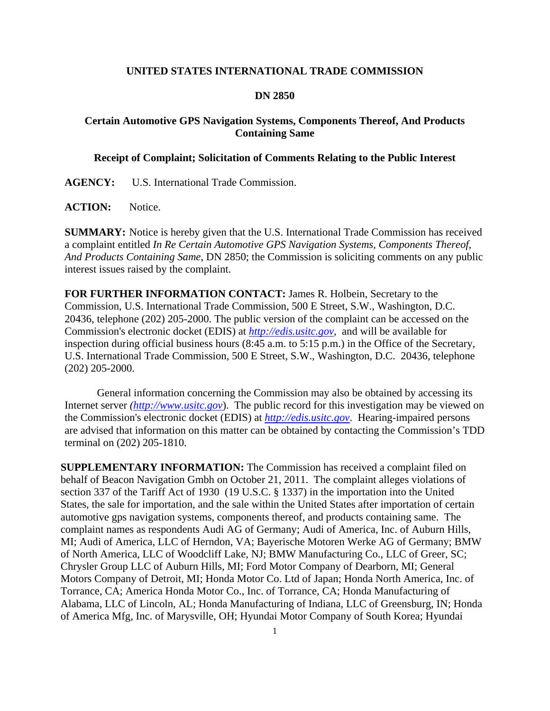## **UNITED STATES INTERNATIONAL TRADE COMMISSION**

## **DN 2850**

## **Certain Automotive GPS Navigation Systems, Components Thereof, And Products Containing Same**

## **Receipt of Complaint; Solicitation of Comments Relating to the Public Interest**

**AGENCY:** U.S. International Trade Commission.

ACTION: Notice.

**SUMMARY:** Notice is hereby given that the U.S. International Trade Commission has received a complaint entitled *In Re Certain Automotive GPS Navigation Systems, Components Thereof, And Products Containing Same*, DN 2850; the Commission is soliciting comments on any public interest issues raised by the complaint.

**FOR FURTHER INFORMATION CONTACT:** James R. Holbein, Secretary to the Commission, U.S. International Trade Commission, 500 E Street, S.W., Washington, D.C. 20436, telephone (202) 205-2000. The public version of the complaint can be accessed on the Commission's electronic docket (EDIS) at *http://edis.usitc.gov*,and will be available for inspection during official business hours (8:45 a.m. to 5:15 p.m.) in the Office of the Secretary, U.S. International Trade Commission, 500 E Street, S.W., Washington, D.C. 20436, telephone (202) 205-2000.

General information concerning the Commission may also be obtained by accessing its Internet server *(http://www.usitc.gov*). The public record for this investigation may be viewed on the Commission's electronic docket (EDIS) at *http://edis.usitc.gov*. Hearing-impaired persons are advised that information on this matter can be obtained by contacting the Commission's TDD terminal on (202) 205-1810.

**SUPPLEMENTARY INFORMATION:** The Commission has received a complaint filed on behalf of Beacon Navigation Gmbh on October 21, 2011. The complaint alleges violations of section 337 of the Tariff Act of 1930 (19 U.S.C. § 1337) in the importation into the United States, the sale for importation, and the sale within the United States after importation of certain automotive gps navigation systems, components thereof, and products containing same. The complaint names as respondents Audi AG of Germany; Audi of America, Inc. of Auburn Hills, MI; Audi of America, LLC of Herndon, VA; Bayerische Motoren Werke AG of Germany; BMW of North America, LLC of Woodcliff Lake, NJ; BMW Manufacturing Co., LLC of Greer, SC; Chrysler Group LLC of Auburn Hills, MI; Ford Motor Company of Dearborn, MI; General Motors Company of Detroit, MI; Honda Motor Co. Ltd of Japan; Honda North America, Inc. of Torrance, CA; America Honda Motor Co., Inc. of Torrance, CA; Honda Manufacturing of Alabama, LLC of Lincoln, AL; Honda Manufacturing of Indiana, LLC of Greensburg, IN; Honda of America Mfg, Inc. of Marysville, OH; Hyundai Motor Company of South Korea; Hyundai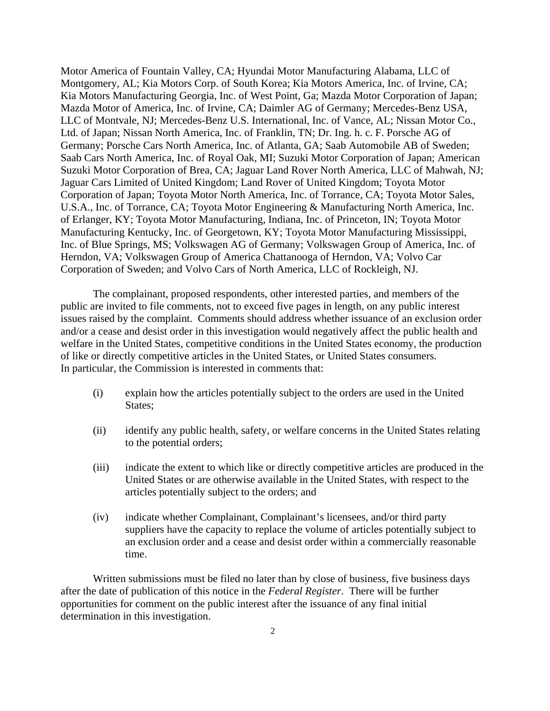Motor America of Fountain Valley, CA; Hyundai Motor Manufacturing Alabama, LLC of Montgomery, AL; Kia Motors Corp. of South Korea; Kia Motors America, Inc. of Irvine, CA; Kia Motors Manufacturing Georgia, Inc. of West Point, Ga; Mazda Motor Corporation of Japan; Mazda Motor of America, Inc. of Irvine, CA; Daimler AG of Germany; Mercedes-Benz USA, LLC of Montvale, NJ; Mercedes-Benz U.S. International, Inc. of Vance, AL; Nissan Motor Co., Ltd. of Japan; Nissan North America, Inc. of Franklin, TN; Dr. Ing. h. c. F. Porsche AG of Germany; Porsche Cars North America, Inc. of Atlanta, GA; Saab Automobile AB of Sweden; Saab Cars North America, Inc. of Royal Oak, MI; Suzuki Motor Corporation of Japan; American Suzuki Motor Corporation of Brea, CA; Jaguar Land Rover North America, LLC of Mahwah, NJ; Jaguar Cars Limited of United Kingdom; Land Rover of United Kingdom; Toyota Motor Corporation of Japan; Toyota Motor North America, Inc. of Torrance, CA; Toyota Motor Sales, U.S.A., Inc. of Torrance, CA; Toyota Motor Engineering & Manufacturing North America, Inc. of Erlanger, KY; Toyota Motor Manufacturing, Indiana, Inc. of Princeton, IN; Toyota Motor Manufacturing Kentucky, Inc. of Georgetown, KY; Toyota Motor Manufacturing Mississippi, Inc. of Blue Springs, MS; Volkswagen AG of Germany; Volkswagen Group of America, Inc. of Herndon, VA; Volkswagen Group of America Chattanooga of Herndon, VA; Volvo Car Corporation of Sweden; and Volvo Cars of North America, LLC of Rockleigh, NJ.

 The complainant, proposed respondents, other interested parties, and members of the public are invited to file comments, not to exceed five pages in length, on any public interest issues raised by the complaint. Comments should address whether issuance of an exclusion order and/or a cease and desist order in this investigation would negatively affect the public health and welfare in the United States, competitive conditions in the United States economy, the production of like or directly competitive articles in the United States, or United States consumers. In particular, the Commission is interested in comments that:

- (i) explain how the articles potentially subject to the orders are used in the United States;
- (ii) identify any public health, safety, or welfare concerns in the United States relating to the potential orders;
- (iii) indicate the extent to which like or directly competitive articles are produced in the United States or are otherwise available in the United States, with respect to the articles potentially subject to the orders; and
- (iv) indicate whether Complainant, Complainant's licensees, and/or third party suppliers have the capacity to replace the volume of articles potentially subject to an exclusion order and a cease and desist order within a commercially reasonable time.

 Written submissions must be filed no later than by close of business, five business days after the date of publication of this notice in the *Federal Register*. There will be further opportunities for comment on the public interest after the issuance of any final initial determination in this investigation.